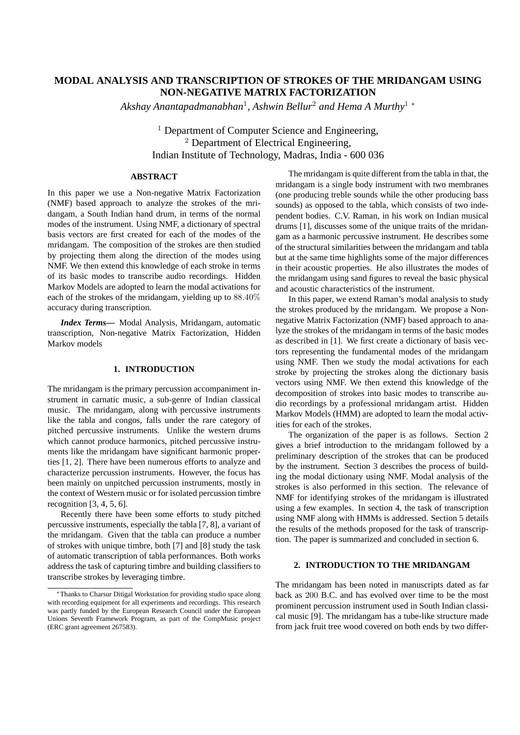# **MODAL ANALYSIS AND TRANSCRIPTION OF STROKES OF THE MRIDANGAM USING NON-NEGATIVE MATRIX FACTORIZATION**

*Akshay Anantapadmanabhan*<sup>1</sup> *, Ashwin Bellur*<sup>2</sup> *and Hema A Murthy*<sup>1</sup> <sup>∗</sup>

 $<sup>1</sup>$  Department of Computer Science and Engineering,</sup> <sup>2</sup> Department of Electrical Engineering, Indian Institute of Technology, Madras, India - 600 036

# **ABSTRACT**

In this paper we use a Non-negative Matrix Factorization (NMF) based approach to analyze the strokes of the mridangam, a South Indian hand drum, in terms of the normal modes of the instrument. Using NMF, a dictionary of spectral basis vectors are first created for each of the modes of the mridangam. The composition of the strokes are then studied by projecting them along the direction of the modes using NMF. We then extend this knowledge of each stroke in terms of its basic modes to transcribe audio recordings. Hidden Markov Models are adopted to learn the modal activations for each of the strokes of the mridangam, yielding up to 88.40% accuracy during transcription.

*Index Terms***—** Modal Analysis, Mridangam, automatic transcription, Non-negative Matrix Factorization, Hidden Markov models

### **1. INTRODUCTION**

The mridangam is the primary percussion accompaniment instrument in carnatic music, a sub-genre of Indian classical music. The mridangam, along with percussive instruments like the tabla and congos, falls under the rare category of pitched percussive instruments. Unlike the western drums which cannot produce harmonics, pitched percussive instruments like the mridangam have significant harmonic properties [1, 2]. There have been numerous efforts to analyze and characterize percussion instruments. However, the focus has been mainly on unpitched percussion instruments, mostly in the context of Western music or for isolated percussion timbre recognition [3, 4, 5, 6].

Recently there have been some efforts to study pitched percussive instruments, especially the tabla [7, 8], a variant of the mridangam. Given that the tabla can produce a number of strokes with unique timbre, both [7] and [8] study the task of automatic transcription of tabla performances. Both works address the task of capturing timbre and building classifiers to transcribe strokes by leveraging timbre.

The mridangam is quite different from the tabla in that, the mridangam is a single body instrument with two membranes (one producing treble sounds while the other producing bass sounds) as opposed to the tabla, which consists of two independent bodies. C.V. Raman, in his work on Indian musical drums [1], discusses some of the unique traits of the mridangam as a harmonic percussive instrument. He describes some of the structural similarities between the mridangam and tabla but at the same time highlights some of the major differences in their acoustic properties. He also illustrates the modes of the mridangam using sand figures to reveal the basic physical and acoustic characteristics of the instrument.

In this paper, we extend Raman's modal analysis to study the strokes produced by the mridangam. We propose a Nonnegative Matrix Factorization (NMF) based approach to analyze the strokes of the mridangam in terms of the basic modes as described in [1]. We first create a dictionary of basis vectors representing the fundamental modes of the mridangam using NMF. Then we study the modal activations for each stroke by projecting the strokes along the dictionary basis vectors using NMF. We then extend this knowledge of the decomposition of strokes into basic modes to transcribe audio recordings by a professional mridangam artist. Hidden Markov Models (HMM) are adopted to learn the modal activities for each of the strokes.

The organization of the paper is as follows. Section 2 gives a brief introduction to the mridangam followed by a preliminary description of the strokes that can be produced by the instrument. Section 3 describes the process of building the modal dictionary using NMF. Modal analysis of the strokes is also performed in this section. The relevance of NMF for identifying strokes of the mridangam is illustrated using a few examples. In section 4, the task of transcription using NMF along with HMMs is addressed. Section 5 details the results of the methods proposed for the task of transcription. The paper is summarized and concluded in section 6.

### **2. INTRODUCTION TO THE MRIDANGAM**

The mridangam has been noted in manuscripts dated as far back as 200 B.C. and has evolved over time to be the most prominent percussion instrument used in South Indian classical music [9]. The mridangam has a tube-like structure made from jack fruit tree wood covered on both ends by two differ-

<sup>∗</sup>Thanks to Charsur Ditigal Workstation for providing studio space along with recording equipment for all experiments and recordings. This research was partly funded by the European Research Council under the European Unions Seventh Framework Program, as part of the CompMusic project (ERC grant agreement 267583).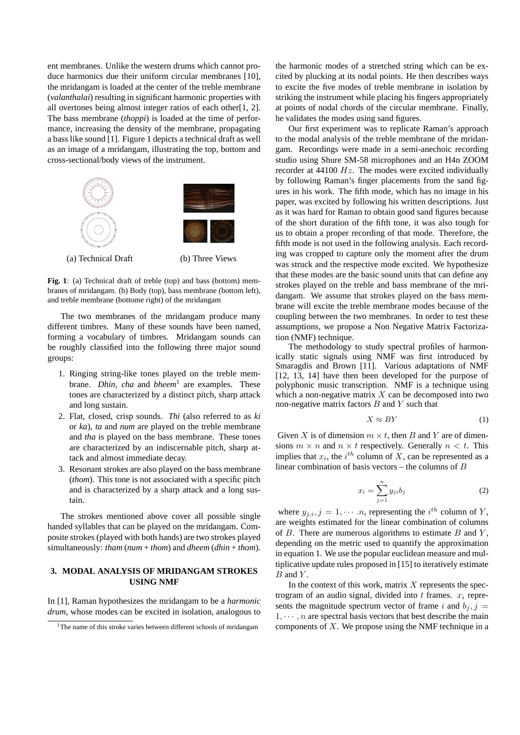ent membranes. Unlike the western drums which cannot produce harmonics due their uniform circular membranes [10], the mridangam is loaded at the center of the treble membrane (*valanthalai*) resulting in significant harmonic properties with all overtones being almost integer ratios of each other[1, 2]. The bass membrane (*thoppi*) is loaded at the time of performance, increasing the density of the membrane, propagating a bass like sound [1]. Figure 1 depicts a technical draft as well as an image of a mridangam, illustrating the top, bottom and cross-sectional/body views of the instrument.



**Fig. 1**: (a) Technical draft of treble (top) and bass (bottom) membranes of mridangam. (b) Body (top), bass membrane (bottom left), and treble membrane (bottome right) of the mridangam

The two membranes of the mridangam produce many different timbres. Many of these sounds have been named, forming a vocabulary of timbres. Mridangam sounds can be roughly classified into the following three major sound groups:

- 1. Ringing string-like tones played on the treble membrane. *Dhin, cha* and *bheem*<sup>1</sup> are examples. These tones are characterized by a distinct pitch, sharp attack and long sustain.
- 2. Flat, closed, crisp sounds. *Thi* (also referred to as *ki* or *ka*), *ta* and *num* are played on the treble membrane and *tha* is played on the bass membrane. These tones are characterized by an indiscernable pitch, sharp attack and almost immediate decay.
- 3. Resonant strokes are also played on the bass membrane (*thom*). This tone is not associated with a specific pitch and is characterized by a sharp attack and a long sustain.

The strokes mentioned above cover all possible single handed syllables that can be played on the mridangam. Composite strokes (played with both hands) are two strokes played simultaneously: *tham* (*num* + *thom*) and *dheem* (*dhin* + *thom*).

## **3. MODAL ANALYSIS OF MRIDANGAM STROKES USING NMF**

In [1], Raman hypothesizes the mridangam to be a *harmonic drum*, whose modes can be excited in isolation, analogous to

the harmonic modes of a stretched string which can be excited by plucking at its nodal points. He then describes ways to excite the five modes of treble membrane in isolation by striking the instrument while placing his fingers appropriately at points of nodal chords of the circular membrane. Finally, he validates the modes using sand figures.

Our first experiment was to replicate Raman's approach to the modal analysis of the treble membrane of the mridangam. Recordings were made in a semi-anechoic recording studio using Shure SM-58 microphones and an H4n ZOOM recorder at  $44100 Hz$ . The modes were excited individually by following Raman's finger placements from the sand figures in his work. The fifth mode, which has no image in his paper, was excited by following his written descriptions. Just as it was hard for Raman to obtain good sand figures because of the short duration of the fifth tone, it was also tough for us to obtain a proper recording of that mode. Therefore, the fifth mode is not used in the following analysis. Each recording was cropped to capture only the moment after the drum was struck and the respective mode excited. We hypothesize that these modes are the basic sound units that can define any strokes played on the treble and bass membrane of the mridangam. We assume that strokes played on the bass membrane will excite the treble membrane modes because of the coupling between the two membranes. In order to test these assumptions, we propose a Non Negative Matrix Factorization (NMF) technique.

The methodology to study spectral profiles of harmonically static signals using NMF was first introduced by Smaragdis and Brown [11]. Various adaptations of NMF [12, 13, 14] have then been developed for the purpose of polyphonic music transcription. NMF is a technique using which a non-negative matrix  $X$  can be decomposed into two non-negative matrix factors  $B$  and  $Y$  such that

$$
X \approx BY \tag{1}
$$

Given X is of dimension  $m \times t$ , then B and Y are of dimensions  $m \times n$  and  $n \times t$  respectively. Generally  $n \lt t$ . This implies that  $x_i$ , the  $i^{th}$  column of X, can be represented as a linear combination of basis vectors – the columns of B

$$
x_i = \sum_{j=1}^n y_{ji} b_j \tag{2}
$$

where  $y_{j,i}, j = 1, \cdots, n$ , representing the  $i^{th}$  column of Y, are weights estimated for the linear combination of columns of  $B$ . There are numerous algorithms to estimate  $B$  and  $Y$ , depending on the metric used to quantify the approximation in equation 1. We use the popular euclidean measure and multiplicative update rules proposed in [15] to iteratively estimate  $B$  and  $Y$ .

In the context of this work, matrix  $X$  represents the spectrogram of an audio signal, divided into  $t$  frames.  $x_i$  represents the magnitude spectrum vector of frame i and  $b_i$ ,  $j =$  $1, \dots, n$  are spectral basis vectors that best describe the main components of  $X$ . We propose using the NMF technique in a

<sup>&</sup>lt;sup>1</sup>The name of this stroke varies between different schools of mridangam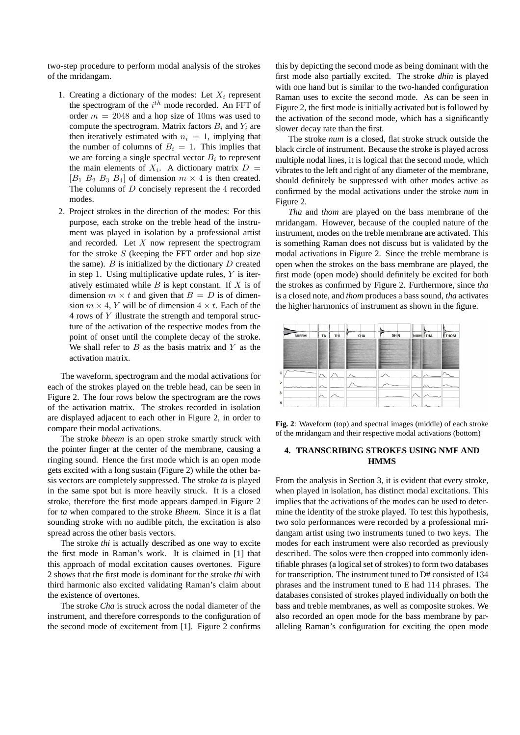two-step procedure to perform modal analysis of the strokes of the mridangam.

- 1. Creating a dictionary of the modes: Let  $X_i$  represent the spectrogram of the  $i^{th}$  mode recorded. An FFT of order  $m = 2048$  and a hop size of 10ms was used to compute the spectrogram. Matrix factors  $B_i$  and  $Y_i$  are then iteratively estimated with  $n_i = 1$ , implying that the number of columns of  $B_i = 1$ . This implies that we are forcing a single spectral vector  $B_i$  to represent the main elements of  $X_i$ . A dictionary matrix  $D =$  $[B_1 \, B_2 \, B_3 \, B_4]$  of dimension  $m \times 4$  is then created. The columns of  $D$  concisely represent the 4 recorded modes.
- 2. Project strokes in the direction of the modes: For this purpose, each stroke on the treble head of the instrument was played in isolation by a professional artist and recorded. Let  $X$  now represent the spectrogram for the stroke  $S$  (keeping the FFT order and hop size the same).  $B$  is initialized by the dictionary  $D$  created in step 1. Using multiplicative update rules,  $Y$  is iteratively estimated while  $B$  is kept constant. If  $X$  is of dimension  $m \times t$  and given that  $B = D$  is of dimension  $m \times 4$ , Y will be of dimension  $4 \times t$ . Each of the 4 rows of Y illustrate the strength and temporal structure of the activation of the respective modes from the point of onset until the complete decay of the stroke. We shall refer to  $B$  as the basis matrix and  $Y$  as the activation matrix.

The waveform, spectrogram and the modal activations for each of the strokes played on the treble head, can be seen in Figure 2. The four rows below the spectrogram are the rows of the activation matrix. The strokes recorded in isolation are displayed adjacent to each other in Figure 2, in order to compare their modal activations.

The stroke *bheem* is an open stroke smartly struck with the pointer finger at the center of the membrane, causing a ringing sound. Hence the first mode which is an open mode gets excited with a long sustain (Figure 2) while the other basis vectors are completely suppressed. The stroke *ta* is played in the same spot but is more heavily struck. It is a closed stroke, therefore the first mode appears damped in Figure 2 for *ta* when compared to the stroke *Bheem*. Since it is a flat sounding stroke with no audible pitch, the excitation is also spread across the other basis vectors.

The stroke *thi* is actually described as one way to excite the first mode in Raman's work. It is claimed in [1] that this approach of modal excitation causes overtones. Figure 2 shows that the first mode is dominant for the stroke *thi* with third harmonic also excited validating Raman's claim about the existence of overtones.

The stroke *Cha* is struck across the nodal diameter of the instrument, and therefore corresponds to the configuration of the second mode of excitement from [1]. Figure 2 confirms

this by depicting the second mode as being dominant with the first mode also partially excited. The stroke *dhin* is played with one hand but is similar to the two-handed configuration Raman uses to excite the second mode. As can be seen in Figure 2, the first mode is initially activated but is followed by the activation of the second mode, which has a significantly slower decay rate than the first.

The stroke *num* is a closed, flat stroke struck outside the black circle of instrument. Because the stroke is played across multiple nodal lines, it is logical that the second mode, which vibrates to the left and right of any diameter of the membrane, should definitely be suppressed with other modes active as confirmed by the modal activations under the stroke *num* in Figure 2.

*Tha* and *thom* are played on the bass membrane of the mridangam. However, because of the coupled nature of the instrument, modes on the treble membrane are activated. This is something Raman does not discuss but is validated by the modal activations in Figure 2. Since the treble membrane is open when the strokes on the bass membrane are played, the first mode (open mode) should definitely be excited for both the strokes as confirmed by Figure 2. Furthermore, since *tha* is a closed note, and *thom* produces a bass sound, *tha* activates the higher harmonics of instrument as shown in the figure.



**Fig. 2**: Waveform (top) and spectral images (middle) of each stroke of the mridangam and their respective modal activations (bottom)

## **4. TRANSCRIBING STROKES USING NMF AND HMMS**

From the analysis in Section 3, it is evident that every stroke, when played in isolation, has distinct modal excitations. This implies that the activations of the modes can be used to determine the identity of the stroke played. To test this hypothesis, two solo performances were recorded by a professional mridangam artist using two instruments tuned to two keys. The modes for each instrument were also recorded as previously described. The solos were then cropped into commonly identifiable phrases (a logical set of strokes) to form two databases for transcription. The instrument tuned to D# consisted of 134 phrases and the instrument tuned to E had 114 phrases. The databases consisted of strokes played individually on both the bass and treble membranes, as well as composite strokes. We also recorded an open mode for the bass membrane by paralleling Raman's configuration for exciting the open mode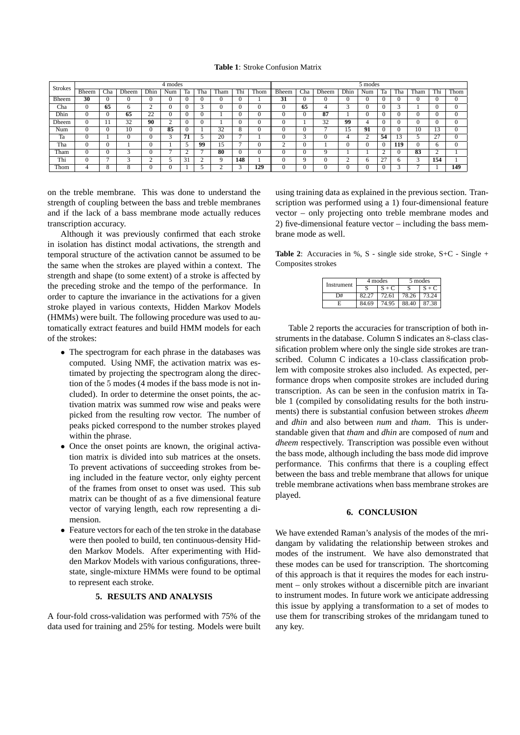**Table 1**: Stroke Confusion Matrix

| <b>Strokes</b> | 4 modes      |         |                   |        |        |                |     |      | 5 modes                  |      |       |                          |          |      |     |                |     |      |                |      |
|----------------|--------------|---------|-------------------|--------|--------|----------------|-----|------|--------------------------|------|-------|--------------------------|----------|------|-----|----------------|-----|------|----------------|------|
|                | Bheem        | Cha     | Dheem             | Dhin   | Num    | Ta             | Tha | Tham | Thi                      | Thom | Bheem | Cha                      | Dheem    | Dhin | Num | Ta             | Tha | Tham | Thi            | Thom |
| Bheem          | 30           |         |                   | u      |        |                |     |      | $\mathbf{0}$             |      | 31    |                          |          |      |     |                |     | ∩    |                |      |
| Cha            | $\mathbf{0}$ | 65      | 6                 | ⌒<br>∼ |        |                |     |      | $\mathbf{0}$             |      |       | 65                       | 4        |      |     |                | e   |      |                |      |
| Dhin           | $\mathbf{0}$ |         | 65                | 22     |        |                |     |      | $\mathbf{0}$             |      |       |                          | 87       |      |     |                |     | ∩    | 0              | 0    |
| Dheem          | $\mathbf{0}$ | 11      | 32                | 90     | $\sim$ |                |     |      | $\mathbf{0}$             |      |       |                          | 32       | 99   |     |                |     | ∩    | $\theta$       |      |
| Num            | $\mathbf{0}$ |         | 10                | ⌒<br>υ | 85     |                |     | 32   | 8                        |      |       |                          |          | 15   | 91  |                |     | 10   | 13             | 0    |
| Ta             | ∩            |         | $\mathbf{0}$      | υ      | e      | 71             |     | 20   | $\overline{ }$           |      |       | $\overline{\phantom{a}}$ | $\theta$ |      |     | 54             | 13  |      | 27<br>▵        | 0    |
| Tha            | $\Omega$     |         |                   |        |        |                | 99  | 15   | $\overline{\phantom{0}}$ |      | c     |                          |          | ×.   |     |                | 119 | n    | 6              | 0    |
| Tham           |              |         | $\mathbf{\hat{}}$ |        |        | $\sim$         |     | 80   | U                        |      |       |                          |          |      |     | $\overline{ }$ | u   | 83   | $\overline{ }$ |      |
| Thi            |              | -       | <b>A</b>          | c      |        | 3 <sup>1</sup> |     |      | 148                      |      |       |                          |          |      |     | 27<br>∠        | h   |      | 154            |      |
| Thom           | 4            | $\circ$ | $\Omega$          |        |        |                |     |      | 3                        | 129  |       |                          |          |      |     |                | ۰   |      |                | 149  |

on the treble membrane. This was done to understand the strength of coupling between the bass and treble membranes and if the lack of a bass membrane mode actually reduces transcription accuracy.

Although it was previously confirmed that each stroke in isolation has distinct modal activations, the strength and temporal structure of the activation cannot be assumed to be the same when the strokes are played within a context. The strength and shape (to some extent) of a stroke is affected by the preceding stroke and the tempo of the performance. In order to capture the invariance in the activations for a given stroke played in various contexts, Hidden Markov Models (HMMs) were built. The following procedure was used to automatically extract features and build HMM models for each of the strokes:

- The spectrogram for each phrase in the databases was computed. Using NMF, the activation matrix was estimated by projecting the spectrogram along the direction of the 5 modes (4 modes if the bass mode is not included). In order to determine the onset points, the activation matrix was summed row wise and peaks were picked from the resulting row vector. The number of peaks picked correspond to the number strokes played within the phrase.
- Once the onset points are known, the original activation matrix is divided into sub matrices at the onsets. To prevent activations of succeeding strokes from being included in the feature vector, only eighty percent of the frames from onset to onset was used. This sub matrix can be thought of as a five dimensional feature vector of varying length, each row representing a dimension.
- Feature vectors for each of the ten stroke in the database were then pooled to build, ten continuous-density Hidden Markov Models. After experimenting with Hidden Markov Models with various configurations, threestate, single-mixture HMMs were found to be optimal to represent each stroke.

# **5. RESULTS AND ANALYSIS**

A four-fold cross-validation was performed with 75% of the data used for training and 25% for testing. Models were built using training data as explained in the previous section. Transcription was performed using a 1) four-dimensional feature vector – only projecting onto treble membrane modes and 2) five-dimensional feature vector – including the bass membrane mode as well.

**Table 2**: Accuracies in %, S - single side stroke, S+C - Single + Composites strokes

| Instrument | 4 modes |         | 5 modes |         |  |  |  |
|------------|---------|---------|---------|---------|--|--|--|
|            |         | $S + C$ |         | $S + C$ |  |  |  |
| D#         | 82.27   | 72.61   | 78.26   | 73.24   |  |  |  |
|            | 84.69   | 74.95   | 88.40   | 87.38   |  |  |  |

Table 2 reports the accuracies for transcription of both instruments in the database. Column S indicates an 8-class classification problem where only the single side strokes are transcribed. Column C indicates a 10-class classification problem with composite strokes also included. As expected, performance drops when composite strokes are included during transcription. As can be seen in the confusion matrix in Table 1 (compiled by consolidating results for the both instruments) there is substantial confusion between strokes *dheem* and *dhin* and also between *num* and *tham*. This is understandable given that *tham* and *dhin* are composed of *num* and *dheem* respectively. Transcription was possible even without the bass mode, although including the bass mode did improve performance. This confirms that there is a coupling effect between the bass and treble membrane that allows for unique treble membrane activations when bass membrane strokes are played.

#### **6. CONCLUSION**

We have extended Raman's analysis of the modes of the mridangam by validating the relationship between strokes and modes of the instrument. We have also demonstrated that these modes can be used for transcription. The shortcoming of this approach is that it requires the modes for each instrument – only strokes without a discernible pitch are invariant to instrument modes. In future work we anticipate addressing this issue by applying a transformation to a set of modes to use them for transcribing strokes of the mridangam tuned to any key.